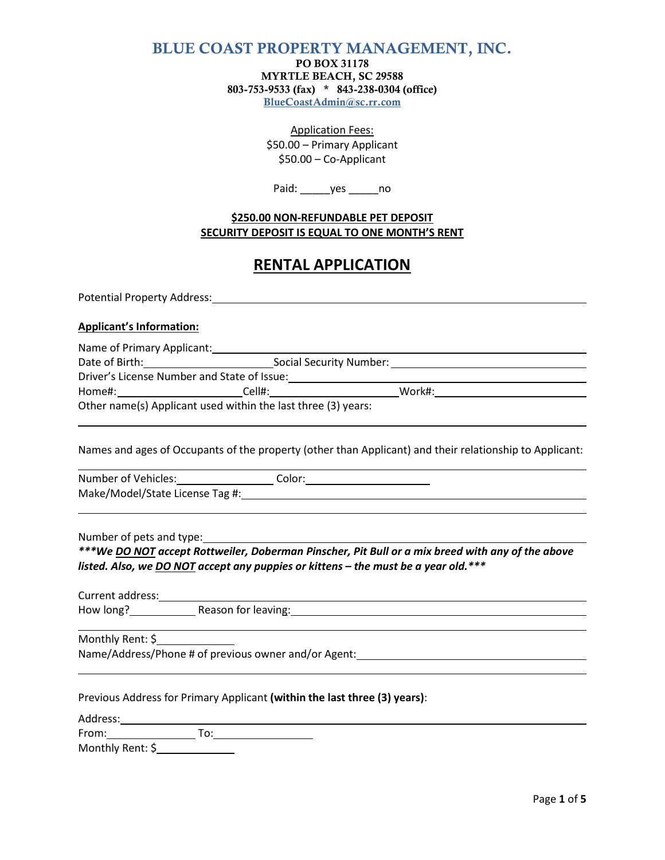## **BLUE COAST PROPERTY MANAGEMENT, INC.**

**PO BOX 31178 MYRTLE BEACH, SC 29588 803-753-9533 (fax) \* 843-238-0304 (office) BlueCoastAdmin@sc.rr.com**

> Application Fees: \$50.00 – Primary Applicant \$50.00 – Co-Applicant

Paid: \_\_\_\_\_\_yes \_\_\_\_\_\_\_ no

#### **\$250.00 NON-REFUNDABLE PET DEPOSIT SECURITY DEPOSIT IS EQUAL TO ONE MONTH'S RENT**

# **RENTAL APPLICATION**

Potential Property Address: North American Control of The Control of The Control of The Control of The Control of The Control of The Control of The Control of The Control of The Control of The Control of The Control of The

#### **Applicant's Information:**

| Name of Primary Applicant:                  |                                                               |        |  |
|---------------------------------------------|---------------------------------------------------------------|--------|--|
| Date of Birth:                              | Social Security Number:                                       |        |  |
| Driver's License Number and State of Issue: |                                                               |        |  |
| Home#:                                      | Cell#:                                                        | Work#: |  |
|                                             | Other name(s) Applicant used within the last three (3) years: |        |  |

Names and ages of Occupants of the property (other than Applicant) and their relationship to Applicant:

Number of Vehicles: Color: Color: Make/Model/State License Tag #:

Number of pets and type:

*\*\*\*We DO NOT accept Rottweiler, Doberman Pinscher, Pit Bull or a mix breed with any of the above listed. Also, we DO NOT accept any puppies or kittens – the must be a year old.\*\*\**

Current address: How long? Reason for leaving:

Monthly Rent: \$

Name/Address/Phone # of previous owner and/or Agent:

| Previous Address for Primary Applicant (within the last three (3) years): |  |  |  |  |  |
|---------------------------------------------------------------------------|--|--|--|--|--|
|---------------------------------------------------------------------------|--|--|--|--|--|

| Address:           |  |
|--------------------|--|
| From:              |  |
| $M$ onthhi Donti C |  |

Monthly Rent: \$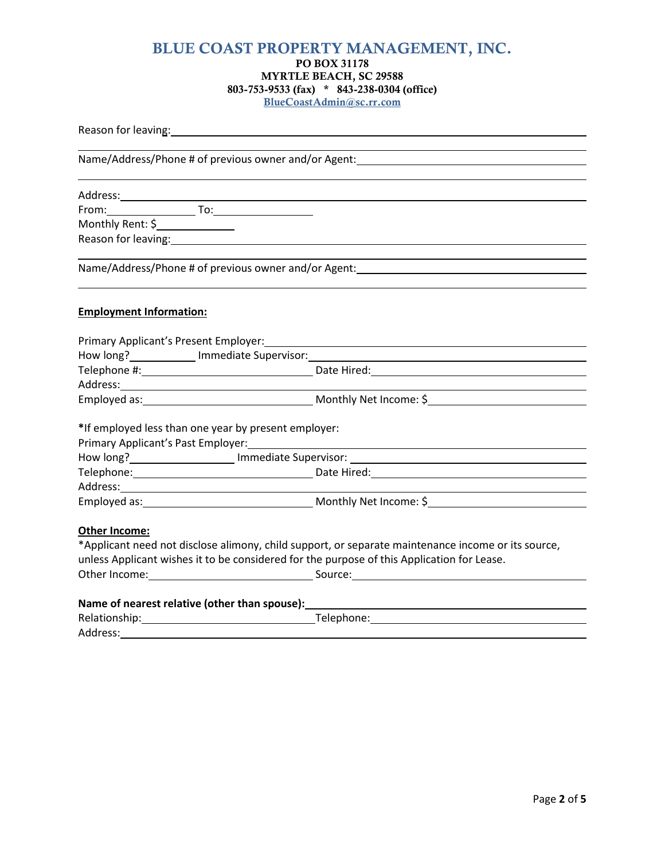### **BLUE COAST PROPERTY MANAGEMENT, INC. PO BOX 31178 MYRTLE BEACH, SC 29588 803-753-9533 (fax) \* 843-238-0304 (office) BlueCoastAdmin@sc.rr.com**

| Reason for leaving: Notice of the state of the state of the state of the state of the state of the state of the |                                                                                                                                                                                                                                      |
|-----------------------------------------------------------------------------------------------------------------|--------------------------------------------------------------------------------------------------------------------------------------------------------------------------------------------------------------------------------------|
|                                                                                                                 |                                                                                                                                                                                                                                      |
|                                                                                                                 |                                                                                                                                                                                                                                      |
|                                                                                                                 |                                                                                                                                                                                                                                      |
|                                                                                                                 | Address: All Andress: Address: Address: Address: Address: Address: Address: Address: Address: Address: Address                                                                                                                       |
| Monthly Rent: \$______________                                                                                  |                                                                                                                                                                                                                                      |
|                                                                                                                 |                                                                                                                                                                                                                                      |
|                                                                                                                 |                                                                                                                                                                                                                                      |
|                                                                                                                 | Name/Address/Phone # of previous owner and/or Agent: ___________________________                                                                                                                                                     |
|                                                                                                                 |                                                                                                                                                                                                                                      |
| <b>Employment Information:</b>                                                                                  |                                                                                                                                                                                                                                      |
|                                                                                                                 |                                                                                                                                                                                                                                      |
|                                                                                                                 |                                                                                                                                                                                                                                      |
|                                                                                                                 | How long? <b>Manual Contract Contract Contract Contract Contract Contract Contract Contract Contract Contract Contract Contract Contract Contract Contract Contract Contract Contract Contract Contract Contract Contract Contra</b> |
|                                                                                                                 |                                                                                                                                                                                                                                      |
|                                                                                                                 |                                                                                                                                                                                                                                      |
|                                                                                                                 |                                                                                                                                                                                                                                      |
|                                                                                                                 |                                                                                                                                                                                                                                      |
| *If employed less than one year by present employer:                                                            |                                                                                                                                                                                                                                      |
|                                                                                                                 |                                                                                                                                                                                                                                      |
|                                                                                                                 |                                                                                                                                                                                                                                      |
|                                                                                                                 |                                                                                                                                                                                                                                      |
|                                                                                                                 |                                                                                                                                                                                                                                      |
|                                                                                                                 | Employed as: Nonthly Net Income: \$                                                                                                                                                                                                  |
| Other Income:                                                                                                   |                                                                                                                                                                                                                                      |
|                                                                                                                 | *Applicant need not disclose alimony, child support, or separate maintenance income or its source,                                                                                                                                   |
|                                                                                                                 | unless Applicant wishes it to be considered for the purpose of this Application for Lease.                                                                                                                                           |
|                                                                                                                 |                                                                                                                                                                                                                                      |
|                                                                                                                 | Name of nearest relative (other than spouse): Name of nearest space of $\sim$                                                                                                                                                        |
|                                                                                                                 | Telephone:                                                                                                                                                                                                                           |
|                                                                                                                 |                                                                                                                                                                                                                                      |

Address: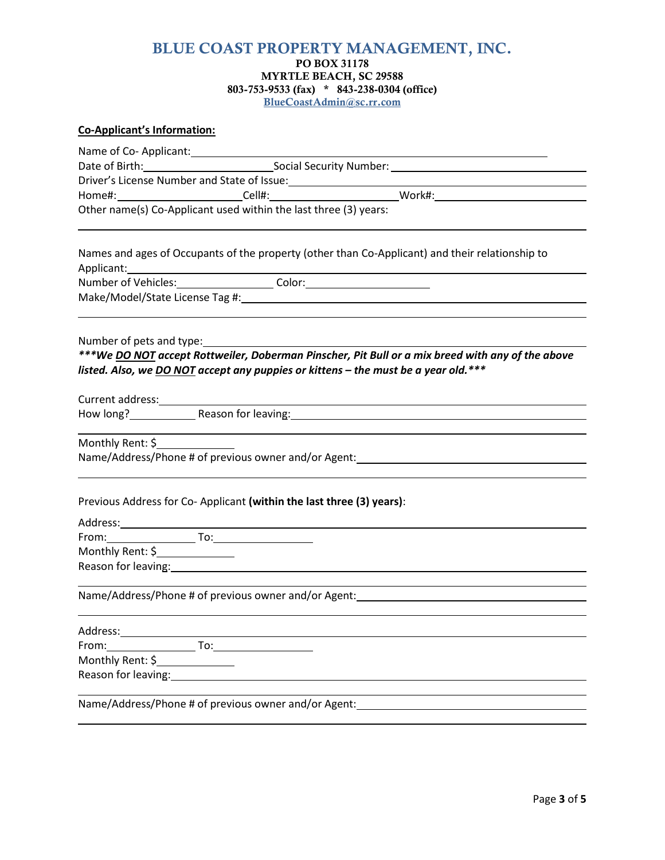## **BLUE COAST PROPERTY MANAGEMENT, INC. PO BOX 31178 MYRTLE BEACH, SC 29588 803-753-9533 (fax) \* 843-238-0304 (office)**

**BlueCoastAdmin@sc.rr.com**

#### **Co-Applicant's Information:**

Name of Co-Applicant: Name of Co-Applicant:

| Date of Birth:                              | Social Security Number: |
|---------------------------------------------|-------------------------|
| Driver's License Number and State of Issue: |                         |

Home#: Cell#: Cell#: Cell#: Work#: Work#: Work Museum Museum Museum Museum Museum Museum Museum Museum Museum M<br>Example Museum Museum Museum Museum Museum Museum Museum Museum Museum Museum Museum Museum Museum Museum Muse

Other name(s) Co-Applicant used within the last three (3) years:

Names and ages of Occupants of the property (other than Co-Applicant) and their relationship to Applicant: Number of Vehicles: Color:

Make/Model/State License Tag #:

Number of pets and type:

*\*\*\*We DO NOT accept Rottweiler, Doberman Pinscher, Pit Bull or a mix breed with any of the above listed. Also, we DO NOT accept any puppies or kittens – the must be a year old.\*\*\**

Current address:\_\_\_\_\_\_\_\_

How long? Reason for leaving: New York Channel Assembly Reason for leaving:

Monthly Rent: \$

Name/Address/Phone # of previous owner and/or Agent:

| Previous Address for Co-Applicant (within the last three (3) years): |  |  |  |
|----------------------------------------------------------------------|--|--|--|
|----------------------------------------------------------------------|--|--|--|

Address: Address: Address: Address: Address: Address: Address: Address: Address: Address: Address: Address: Address: Address: Address: Address: Address: Address: Address: Address: Address: Address: Address: Address: Addres From: To:

Monthly Rent: \$

Reason for leaving: 1988 and 2008 and 2008 and 2008 and 2008 and 2008 and 2008 and 2008 and 2008 and 2008 and 2008 and 2008 and 2008 and 2008 and 2008 and 2008 and 2008 and 2008 and 2008 and 2008 and 2008 and 2008 and 2008 

Name/Address/Phone # of previous owner and/or Agent:

Address: From: To: Monthly Rent: \$ Reason for leaving: 1988 and 1988 and 1988 and 1988 and 1988 and 1988 and 1988 and 1988 and 1988 and 1988 and 1988 and 1988 and 1988 and 1988 and 1988 and 1988 and 1988 and 1988 and 1988 and 1988 and 1988 and 1988 and 1988 Name/Address/Phone # of previous owner and/or Agent:

Page **3** of **5**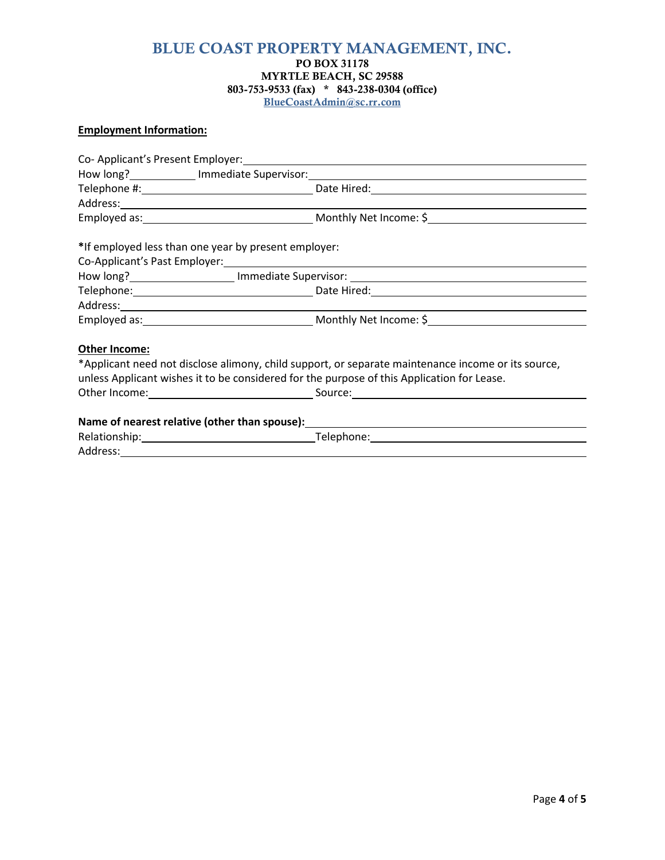### **BLUE COAST PROPERTY MANAGEMENT, INC. PO BOX 31178 MYRTLE BEACH, SC 29588 803-753-9533 (fax) \* 843-238-0304 (office) BlueCoastAdmin@sc.rr.com**

## **Employment Information:**

| *If employed less than one year by present employer:                                               |
|----------------------------------------------------------------------------------------------------|
|                                                                                                    |
|                                                                                                    |
|                                                                                                    |
|                                                                                                    |
|                                                                                                    |
|                                                                                                    |
| *Applicant need not disclose alimony, child support, or separate maintenance income or its source, |
| unless Applicant wishes it to be considered for the purpose of this Application for Lease.         |
|                                                                                                    |
|                                                                                                    |
|                                                                                                    |
|                                                                                                    |
|                                                                                                    |